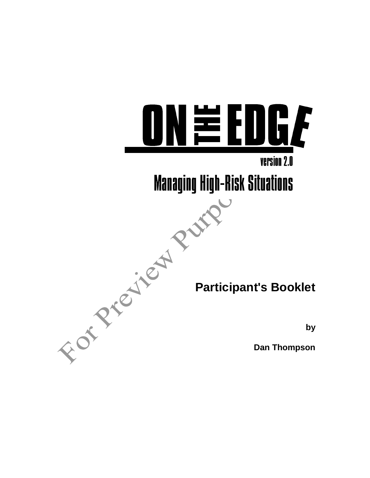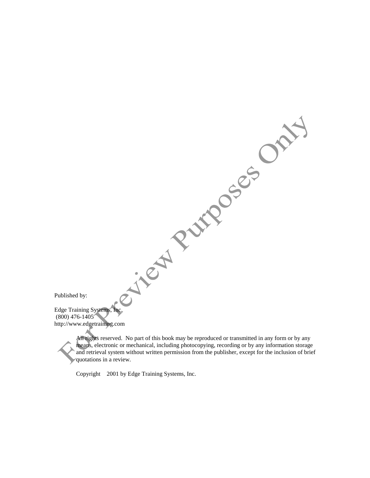| Published by:                                                                                                              |
|----------------------------------------------------------------------------------------------------------------------------|
| Edge Training Systems, Inc.                                                                                                |
| $(800)$ 476-1405 <sup><math>\prime</math></sup>                                                                            |
| http://www.edgetraining.com                                                                                                |
| $\Delta$ ll $\sim$ $\Delta$ k <sub>to</sub><br>No part of this hook may be reproduced or transmitted in any form or by any |

All rights reserved. No part of this book may be reproduced or transmitted in any form or by any means, electronic or mechanical, including photocopying, recording or by any information storage and retrieval system without written permission from the publisher, except for the inclusion of brief quotations in a review.

Copyright 2001 by Edge Training Systems, Inc.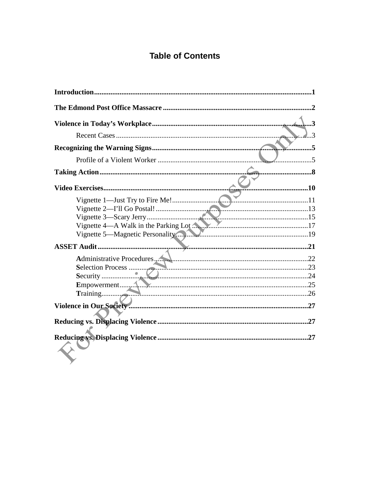# **Table of Contents**

| 8   |
|-----|
| 10  |
|     |
|     |
|     |
|     |
|     |
|     |
|     |
|     |
|     |
|     |
|     |
|     |
|     |
| .27 |
| .27 |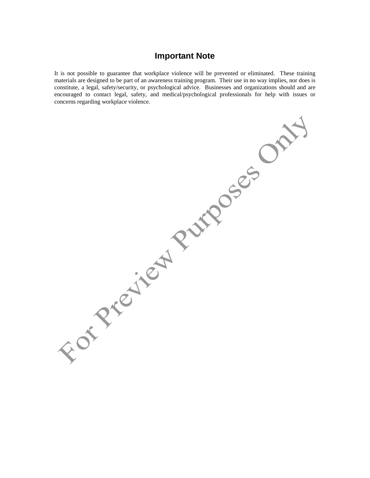#### **Important Note**

It is not possible to guarantee that workplace violence will be prevented or eliminated. These training materials are designed to be part of an awareness training program. Their use in no way implies, nor does is constitute, a legal, safety/security, or psychological advice. Businesses and organizations should and are encouraged to contact legal, safety, and medical/psychological professionals for help with issues or concerns regarding workplace violence.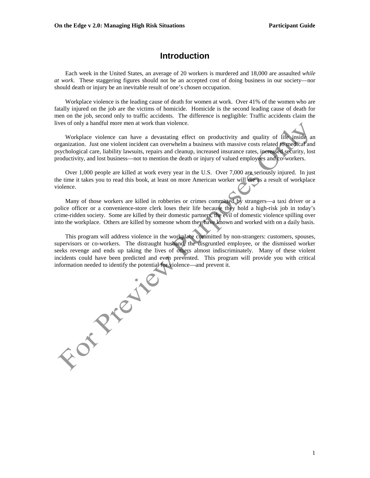#### **Introduction**

 Each week in the United States, an average of 20 workers is murdered and 18,000 are assaulted *while at work*. These staggering figures should not be an accepted cost of doing business in our society—nor should death or injury be an inevitable result of one's chosen occupation.

 Workplace violence is the leading cause of death for women at work. Over 41% of the women who are fatally injured on the job are the victims of homicide. Homicide is the second leading cause of death for men on the job, second only to traffic accidents. The difference is negligible: Traffic accidents claim the lives of only a handful more men at work than violence.

 Workplace violence can have a devastating effect on productivity and quality of life inside an organization. Just one violent incident can overwhelm a business with massive costs related to medical and psychological care, liability lawsuits, repairs and cleanup, increased insurance rates, increased security, lost productivity, and lost business—not to mention the death or injury of valued employees and co-workers.

 Over 1,000 people are killed at work every year in the U.S. Over 7,000 are seriously injured. In just the time it takes you to read this book, at least on more American worker will die as a result of workplace violence.

 Many of those workers are killed in robberies or crimes committed by strangers—a taxi driver or a police officer or a convenience-store clerk loses their life because they hold a high-risk job in today's crime-ridden society. Some are killed by their domestic partners, the evil of domestic violence spilling over into the workplace. Others are killed by someone whom they have known and worked with on a daily basis.

 This program will address violence in the workplace committed by non-strangers: customers, spouses, supervisors or co-workers. The distraught husband, the disgruntled employee, or the dismissed worker seeks revenge and ends up taking the lives of others almost indiscriminately. Many of these violent information needed to identify the potential for violence—and prevent it.

incidents could have been predicted and even prevented. This program will provide you with critical information needed to identify the potential for violence—and prevent it.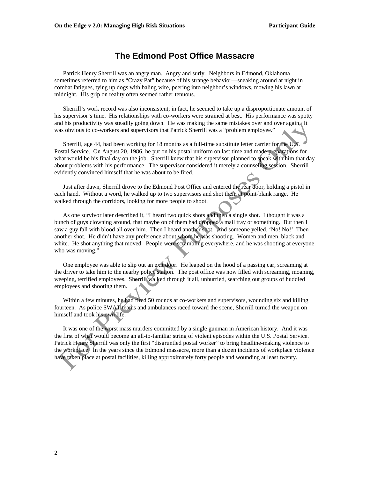#### **The Edmond Post Office Massacre**

 Patrick Henry Sherrill was an angry man. Angry and surly. Neighbors in Edmond, Oklahoma sometimes referred to him as "Crazy Pat" because of his strange behavior—sneaking around at night in combat fatigues, tying up dogs with baling wire, peering into neighbor's windows, mowing his lawn at midnight. His grip on reality often seemed rather tenuous.

 Sherrill's work record was also inconsistent; in fact, he seemed to take up a disproportionate amount of his supervisor's time. His relationships with co-workers were strained at best. His performance was spotty and his productivity was steadily going down. He was making the same mistakes over and over again. It was obvious to co-workers and supervisors that Patrick Sherrill was a "problem employee."

 Sherrill, age 44, had been working for 18 months as a full-time substitute letter carrier for the U.S. Postal Service. On August 20, 1986, he put on his postal uniform on last time and made preparations for what would be his final day on the job. Sherrill knew that his supervisor planned to speak with him that day about problems with his performance. The supervisor considered it merely a counseling session. Sherrill evidently convinced himself that he was about to be fired.

 Just after dawn, Sherrill drove to the Edmond Post Office and entered the rear door, holding a pistol in each hand. Without a word, he walked up to two supervisors and shot them at point-blank range. He walked through the corridors, looking for more people to shoot.

 As one survivor later described it, "I heard two quick shots and then a single shot. I thought it was a bunch of guys clowning around, that maybe on of them had dropped a mail tray or something. But then I saw a guy fall with blood all over him. Then I heard another shot. And someone yelled, 'No! No!' Then another shot. He didn't have any preference about whom he was shooting. Women and men, black and white. He shot anything that moved. People were scrambling everywhere, and he was shooting at everyone who was moving."

 One employee was able to slip out an exit door. He leaped on the hood of a passing car, screaming at the driver to take him to the nearby police station. The post office was now filled with screaming, moaning, weeping, terrified employees. Sherrill walked through it all, unhurried, searching out groups of huddled employees and shooting them.

 Within a few minutes, he had fired 50 rounds at co-workers and supervisors, wounding six and killing fourteen. As police SWAT teams and ambulances raced toward the scene, Sherrill turned the weapon on himself and took his own life.

 It was one of the worst mass murders committed by a single gunman in American history. And it was the first of what would become an all-to-familiar string of violent episodes within the U.S. Postal Service. Patrick Henry Sherrill was only the first "disgruntled postal worker" to bring headline-making violence to the workplace. In the years since the Edmond massacre, more than a dozen incidents of workplace violence have taken place at postal facilities, killing approximately forty people and wounding at least twenty.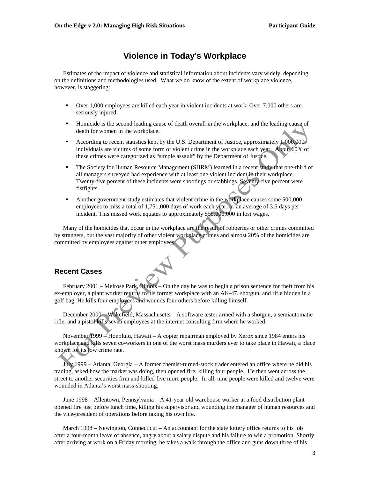#### **Violence in Today's Workplace**

 Estimates of the impact of violence and statistical information about incidents vary widely, depending on the definitions and methodologies used. What we do know of the extent of workplace violence, however, is staggering:

- Over 1,000 employees are killed each year in violent incidents at work. Over 7,000 others are seriously injured.
- Homicide is the second leading cause of death overall in the workplace, and the leading cause of death for women in the workplace.
- According to recent statistics kept by the U.S. Department of Justice, approximately 1,000,000 individuals are victims of some form of violent crime in the workplace each year. About 60% of these crimes were categorized as "simple assault" by the Department of Justice.
- The Society for Human Resource Management (SHRM) learned in a recent study that one-third of all managers surveyed had experience with at least one violent incident in their workplace. Twenty-five percent of these incidents were shootings or stabbings. Seventy-five percent were fistfights.
- Another government study estimates that violent crime in the workplace causes some 500,000 employees to miss a total of 1,751,000 days of work each year, or an average of 3.5 days per incident. This missed work equates to approximately \$55,000,000 in lost wages.

 Many of the homicides that occur in the workplace are the result of robberies or other crimes committed by strangers, but the vast majority of other violent workplace crimes and almost 20% of the homicides are committed by employees against other employees.

#### **Recent Cases**

February 2001 – Melrose Park, Illinois – On the day he was to begin a prison sentence for theft from his ex-employer, a plant worker returns to his former workplace with an AK-47, shotgun, and rifle hidden in a golf bag. He kills four employees and wounds four others before killing himself.

 December 2000 – Wakefield, Massachusetts – A software tester armed with a shotgun, a semiautomatic rifle, and a pistol kills seven employees at the internet consulting firm where he worked.

 November 1999 – Honolulu, Hawaii – A copier repairman employed by Xerox since 1984 enters his workplace and kills seven co-workers in one of the worst mass murders ever to take place in Hawaii, a place known for its low crime rate.

 July 1999 – Atlanta, Georgia – A former chemist-turned-stock trader entered an office where he did his trading, asked how the market was doing, then opened fire, killing four people. He then went across the street to another securities firm and killed five more people. In all, nine people were killed and twelve were wounded in Atlanta's worst mass-shooting.

 June 1998 – Allentown, Pennsylvania – A 41-year old warehouse worker at a food distribution plant opened fire just before lunch time, killing his supervisor and wounding the manager of human resources and the vice-president of operations before taking his own life.

 March 1998 – Newington, Connecticut – An accountant for the state lottery office returns to his job after a four-month leave of absence, angry about a salary dispute and his failure to win a promotion. Shortly after arriving at work on a Friday morning, he takes a walk through the office and guns down three of his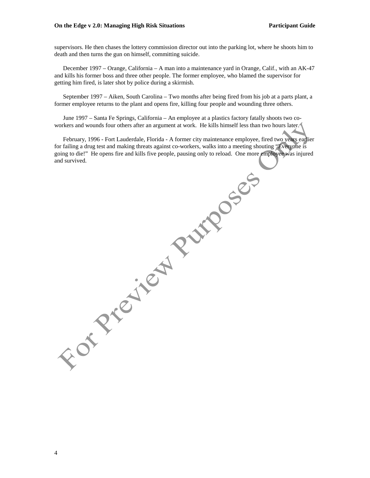#### **On the Edge v 2.0: Managing High Risk Situations Participant Guide Participant Guide**

supervisors. He then chases the lottery commission director out into the parking lot, where he shoots him to death and then turns the gun on himself, committing suicide.

 December 1997 – Orange, California – A man into a maintenance yard in Orange, Calif., with an AK-47 and kills his former boss and three other people. The former employee, who blamed the supervisor for getting him fired, is later shot by police during a skirmish.

 September 1997 – Aiken, South Carolina – Two months after being fired from his job at a parts plant, a former employee returns to the plant and opens fire, killing four people and wounding three others.

 June 1997 – Santa Fe Springs, California – An employee at a plastics factory fatally shoots two coworkers and wounds four others after an argument at work. He kills himself less than two hours later.

 February, 1996 - Fort Lauderdale, Florida - A former city maintenance employee, fired two years earlier for failing a drug test and making threats against co-workers, walks into a meeting shouting "Everyone is going to die!" He opens fire and kills five people, pausing only to reload. One more employee was injured and survived.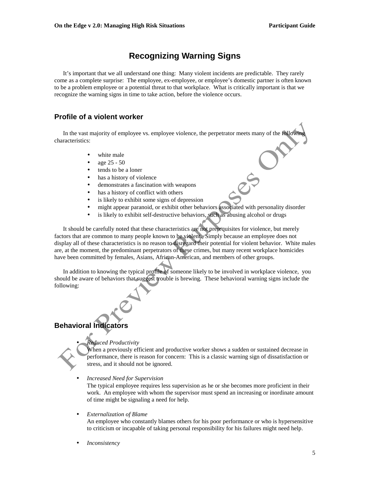# **Recognizing Warning Signs**

 It's important that we all understand one thing: Many violent incidents are predictable. They rarely come as a complete surprise: The employee, ex-employee, or employee's domestic partner is often known to be a problem employee or a potential threat to that workplace. What is critically important is that we recognize the warning signs in time to take action, before the violence occurs.

#### **Profile of a violent worker**

In the vast majority of employee vs. employee violence, the perpetrator meets many of the following characteristics:

- white male
- age 25 50
- tends to be a loner
- has a history of violence
- demonstrates a fascination with weapons
- has a history of conflict with others
- is likely to exhibit some signs of depression
- might appear paranoid, or exhibit other behaviors associated with personality disorder
- is likely to exhibit self-destructive behaviors, such as abusing alcohol or drugs

 It should be carefully noted that these characteristics are not prerequisites for violence, but merely factors that are common to many people known to be violent. Simply because an employee does not display all of these characteristics is no reason to disregard their potential for violent behavior. White males are, at the moment, the predominant perpetrators of these crimes, but many recent workplace homicides have been committed by females, Asians, African-American, and members of other groups.

 In addition to knowing the typical profile of someone likely to be involved in workplace violence, you should be aware of behaviors that suggest trouble is brewing. These behavioral warning signs include the following:

#### **Behavioral Indicators**

#### • *Reduced Productivity*

When a previously efficient and productive worker shows a sudden or sustained decrease in performance, there is reason for concern: This is a classic warning sign of dissatisfaction or stress, and it should not be ignored.

• *Increased Need for Supervision* 

The typical employee requires less supervision as he or she becomes more proficient in their work. An employee with whom the supervisor must spend an increasing or inordinate amount of time might be signaling a need for help.

#### • *Externalization of Blame*

An employee who constantly blames others for his poor performance or who is hypersensitive to criticism or incapable of taking personal responsibility for his failures might need help.

• *Inconsistency*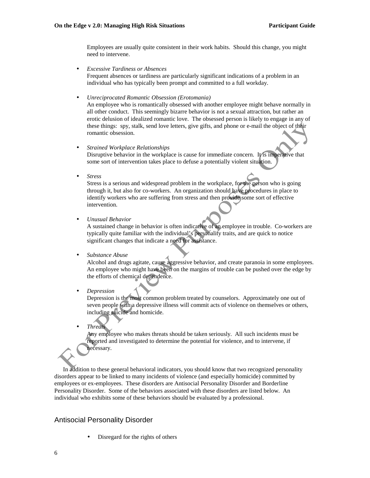Employees are usually quite consistent in their work habits. Should this change, you might need to intervene.

- *Excessive Tardiness or Absences*  Frequent absences or tardiness are particularly significant indications of a problem in an individual who has typically been prompt and committed to a full workday.
- *Unreciprocated Romantic Obsession (Erotomania)*

An employee who is romantically obsessed with another employee might behave normally in all other conduct. This seemingly bizarre behavior is not a sexual attraction, but rather an erotic delusion of idealized romantic love. The obsessed person is likely to engage in any of these things: spy, stalk, send love letters, give gifts, and phone or e-mail the object of their romantic obsession.

- *Strained Workplace Relationships*  Disruptive behavior in the workplace is cause for immediate concern. It is imperative that some sort of intervention takes place to defuse a potentially violent situation.
- *Stress*

Stress is a serious and widespread problem in the workplace, for the person who is going through it, but also for co-workers. An organization should have procedures in place to identify workers who are suffering from stress and then provide some sort of effective intervention.

• *Unusual Behavior* 

A sustained change in behavior is often indicative of an employee in trouble. Co-workers are typically quite familiar with the individual's personality traits, and are quick to notice significant changes that indicate a need for assistance.

#### • *Substance Abuse*

Alcohol and drugs agitate, cause aggressive behavior, and create paranoia in some employees. An employee who might have been on the margins of trouble can be pushed over the edge by the efforts of chemical dependence.

• *Depression* 

Depression is the most common problem treated by counselors. Approximately one out of seven people with a depressive illness will commit acts of violence on themselves or others, including suicide and homicide.

• *Threats*

Any employee who makes threats should be taken seriously. All such incidents must be reported and investigated to determine the potential for violence, and to intervene, if necessary.

 In addition to these general behavioral indicators, you should know that two recognized personality disorders appear to be linked to many incidents of violence (and especially homicide) committed by employees or ex-employees. These disorders are Antisocial Personality Disorder and Borderline Personality Disorder. Some of the behaviors associated with these disorders are listed below. An individual who exhibits some of these behaviors should be evaluated by a professional.

#### Antisocial Personality Disorder

Disregard for the rights of others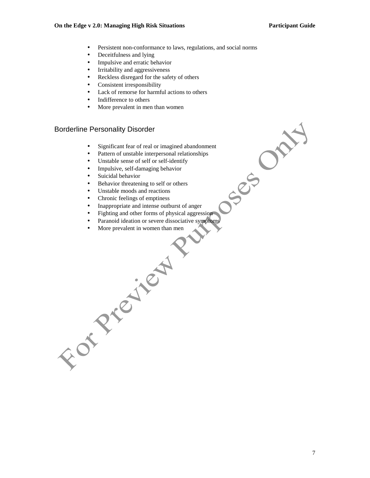See Or

- Persistent non-conformance to laws, regulations, and social norms
- Deceiffulness and lying
- Impulsive and erratic behavior
- Irritability and aggressiveness
- Reckless disregard for the safety of others
- Consistent irresponsibility
- Lack of remorse for harmful actions to others
- Indifference to others
- More prevalent in men than women

#### Borderline Personality Disorder

- Significant fear of real or imagined abandonment
- Pattern of unstable interpersonal relationships
- Unstable sense of self or self-identify
- Impulsive, self-damaging behavior
- Suicidal behavior
- Behavior threatening to self or others
- Unstable moods and reactions
- Chronic feelings of emptiness
- Inappropriate and intense outburst of anger
- Fighting and other forms of physical aggression
- Paranoid ideation or severe dissociative symptoms
- More prevalent in women than men<br>
More prevalent in women than men<br>
Contract in the state of the state of the state of the state of the state of the state of the state of the state of the state of the state of the st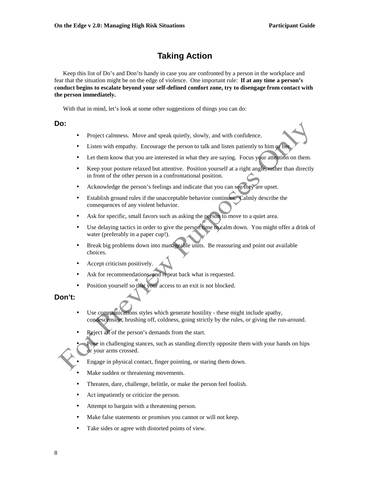# **Taking Action**

 Keep this list of Do's and Don'ts handy in case you are confronted by a person in the workplace and fear that the situation might be on the edge of violence. One important rule: **If at any time a person's conduct begins to escalate beyond your self-defined comfort zone, try to disengage from contact with the person immediately.**

With that in mind, let's look at some other suggestions of things you can do:

#### **Do:**

- Project calmness. Move and speak quietly, slowly, and with confidence.
- Listen with empathy. Encourage the person to talk and listen patiently to him or her.
- Let them know that you are interested in what they are saying. Focus your attention on them.
- Keep your posture relaxed but attentive. Position yourself at a right angle, rather than directly in front of the other person in a confrontational position.
- Acknowledge the person's feelings and indicate that you can see they are upset.
- Establish ground rules if the unacceptable behavior continues. Calmly describe the consequences of any violent behavior.
- Ask for specific, small favors such as asking the person to move to a quiet area.
- Use delaying tactics in order to give the person time to calm down. You might offer a drink of water (preferably in a paper cup!).
- Break big problems down into manageable units. Be reassuring and point out available choices.
- Accept criticism positively.
- Ask for recommendations, and repeat back what is requested.
- Position yourself so that your access to an exit is not blocked.

#### **Don't:**

- Use communications styles which generate hostility these might include apathy, condescension, brushing off, coldness, going strictly by the rules, or giving the run-around.
- Reject all of the person's demands from the start.
	- Pose in challenging stances, such as standing directly opposite them with your hands on hips or your arms crossed.
- Engage in physical contact, finger pointing, or staring them down.
- Make sudden or threatening movements.
- Threaten, dare, challenge, belittle, or make the person feel foolish.
- Act impatiently or criticize the person.
- Attempt to bargain with a threatening person.
- Make false statements or promises you cannot or will not keep.
- Take sides or agree with distorted points of view.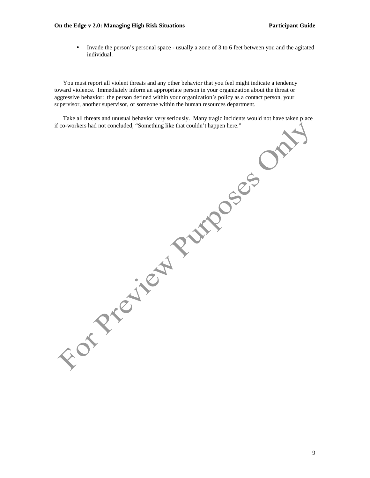#### **On the Edge v 2.0: Managing High Risk Situations Participant Guide Participant Guide**

• Invade the person's personal space - usually a zone of 3 to 6 feet between you and the agitated individual.

 You must report all violent threats and any other behavior that you feel might indicate a tendency toward violence. Immediately inform an appropriate person in your organization about the threat or aggressive behavior: the person defined within your organization's policy as a contact person, your supervisor, another supervisor, or someone within the human resources department.

 Take all threats and unusual behavior very seriously. Many tragic incidents would not have taken place if co-workers had not concluded, "Something like that couldn't happen here."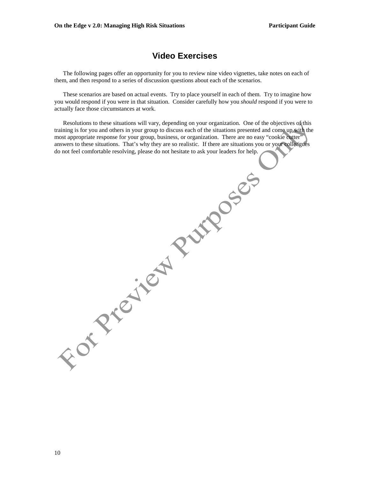#### **Video Exercises**

 The following pages offer an opportunity for you to review nine video vignettes, take notes on each of them, and then respond to a series of discussion questions about each of the scenarios.

 These scenarios are based on actual events. Try to place yourself in each of them. Try to imagine how you would respond if you were in that situation. Consider carefully how you *should* respond if you were to actually face those circumstances at work.

 Resolutions to these situations will vary, depending on your organization. One of the objectives of this training is for you and others in your group to discuss each of the situations presented and come up with the most appropriate response for your group, business, or organization. There are no easy "cookie cutter" answers to these situations. That's why they are so realistic. If there are situations you or your colleagues do not feel comfortable resolving, please do not hesitate to ask your leaders for help.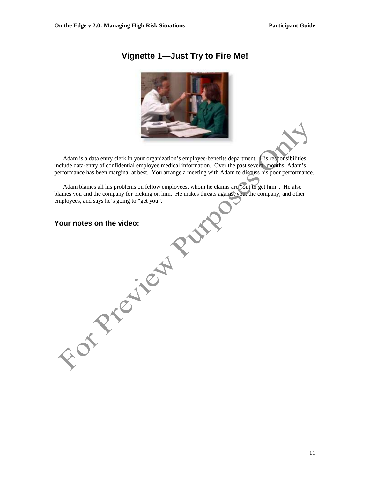## **Vignette 1—Just Try to Fire Me!**



 Adam is a data entry clerk in your organization's employee-benefits department. His responsibilities include data-entry of confidential employee medical information. Over the past several months, Adam's performance has been marginal at best. You arrange a meeting with Adam to discuss his poor performance.

 Adam blames all his problems on fellow employees, whom he claims are "out to get him". He also blames you and the company for picking on him. He makes threats against you, the company, and other employees, and says he's going to "get you".

**For Precisely Puts**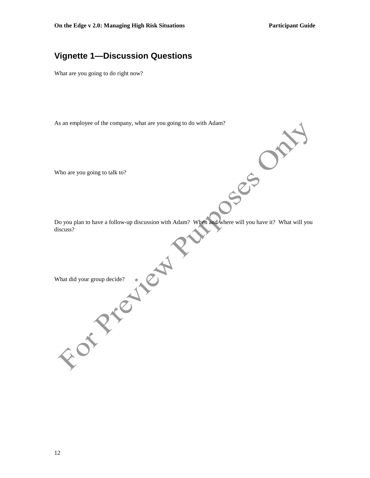OSSED ON

## **Vignette 1—Discussion Questions**

What are you going to do right now?

As an employee of the company, what are you going to do with Adam?

Who are you going to talk to?

Do you plan to have a follow-up discussion with Adam? When and where will you have it? What will you discuss?

What did your group decide?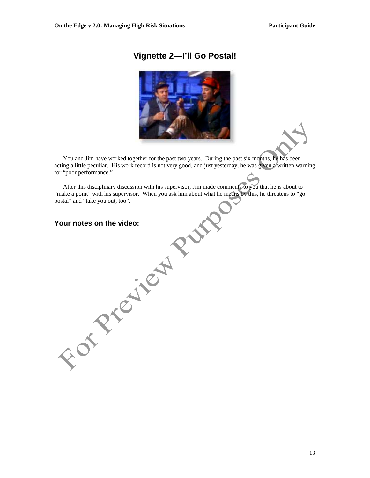## **Vignette 2—I'll Go Postal!**



 You and Jim have worked together for the past two years. During the past six months, he has been acting a little peculiar. His work record is not very good, and just yesterday, he was given a written warning for "poor performance."

 After this disciplinary discussion with his supervisor, Jim made comments to you that he is about to "make a point" with his supervisor. When you ask him about what he means by this, he threatens to "go postal" and "take you out, too".

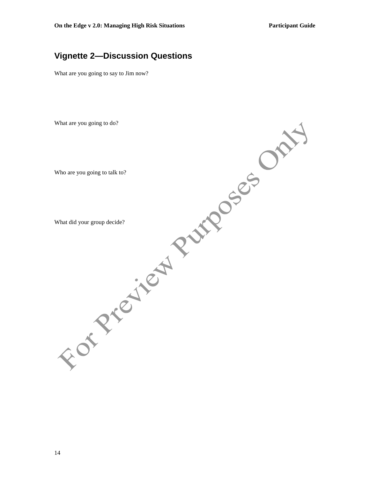## **Vignette 2—Discussion Questions**

What are you going to say to Jim now?

What are you going to do?

Who are you going to talk to?

What did your group decide?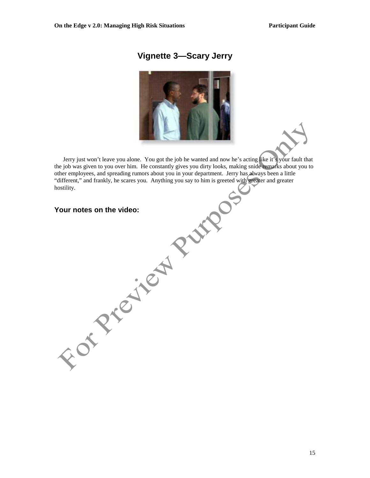## **Vignette 3—Scary Jerry**



Jerry just won't leave you alone. You got the job he wanted and now he's acting like it's your fault that the job was given to you over him. He constantly gives you dirty looks, making snide remarks about you to other employees, and spreading rumors about you in your department. Jerry has always been a little "different," and frankly, he scares you. Anything you say to him is greeted with greater and greater hostility.

| Your notes on the video: |  |
|--------------------------|--|
|                          |  |
|                          |  |
|                          |  |
|                          |  |
|                          |  |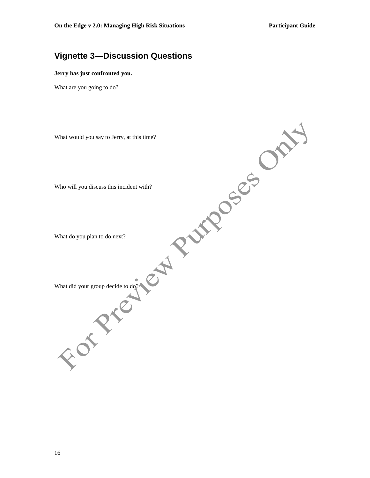## **Vignette 3—Discussion Questions**

#### **Jerry has just confronted you.**

What are you going to do?

What would you say to Jerry, at this time? Who will you discuss this incident with? What do you plan to do next? What did your group decide to do?/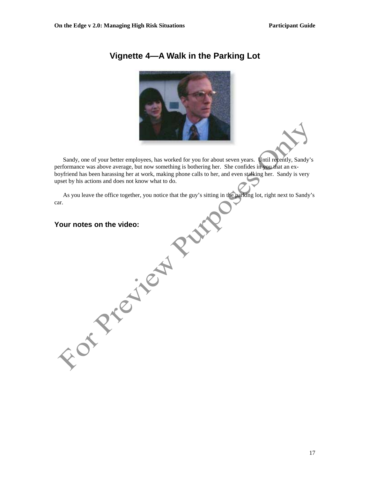

## **Vignette 4—A Walk in the Parking Lot**

 Sandy, one of your better employees, has worked for you for about seven years. Until recently, Sandy's performance was above average, but now something is bothering her. She confides in you that an exboyfriend has been harassing her at work, making phone calls to her, and even stalking her. Sandy is very upset by his actions and does not know what to do.

 As you leave the office together, you notice that the guy's sitting in the parking lot, right next to Sandy's car.

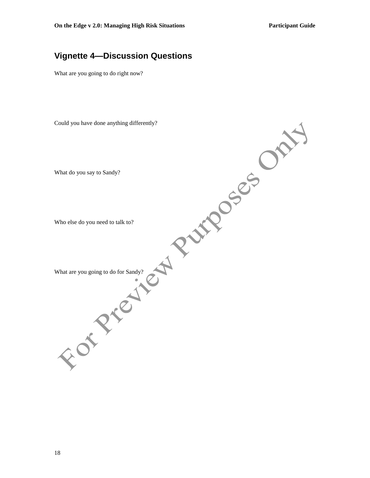## **Vignette 4—Discussion Questions**

What are you going to do right now?

Could you have done anything differently?

What do you say to Sandy?

Who else do you need to talk to?

What are you going to do for Sandy?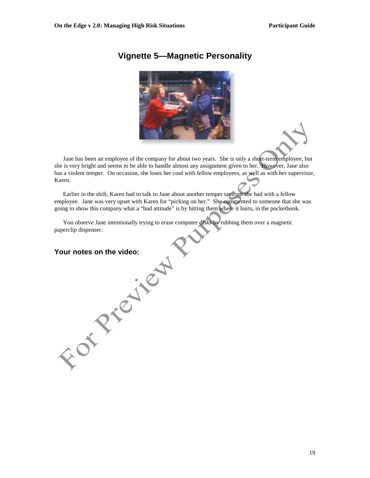# **Vignette 5—Magnetic Personality**



 Jane has been an employee of the company for about two years. She is only a short-term employee, but she is very bright and seems to be able to handle almost any assignment given to her. However, Jane also has a violent temper. On occasion, she loses her cool with fellow employees, as well as with her supervisor, Karen.

 Earlier in the shift, Karen had to talk to Jane about another temper tantrum she had with a fellow employee. Jane was very upset with Karen for "picking on her." She commented to someone that she was going to show this company what a "bad attitude" is by hitting them where it hurts, in the pocketbook.

 You observe Jane intentionally trying to erase computer disks by rubbing them over a magnetic paperclip dispenser.

# **Your Price of the video.**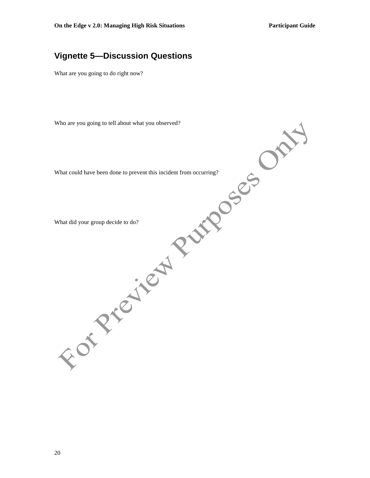## **Vignette 5—Discussion Questions**

What are you going to do right now?

Who are you going to tell about what you observed?

What could have been done to prevent this incident from occurring?

What did your group decide to do?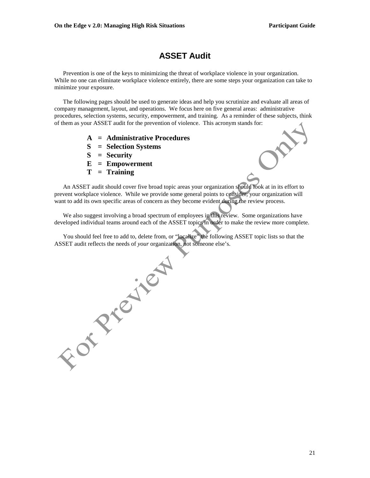## **ASSET Audit**

 Prevention is one of the keys to minimizing the threat of workplace violence in your organization. While no one can eliminate workplace violence entirely, there are some steps your organization can take to minimize your exposure.

 The following pages should be used to generate ideas and help you scrutinize and evaluate all areas of company management, layout, and operations. We focus here on five general areas: administrative procedures, selection systems, security, empowerment, and training. As a reminder of these subjects, think of them as your ASSET audit for the prevention of violence. This acronym stands for:

- **A = Administrative Procedures**
- **S = Selection Systems**
- **S = Security**
- **E = Empowerment**
- **T = Training**

 An ASSET audit should cover five broad topic areas your organization should look at in its effort to prevent workplace violence. While we provide some general points to consider, your organization will want to add its own specific areas of concern as they become evident during the review process.

 We also suggest involving a broad spectrum of employees in this review. Some organizations have developed individual teams around each of the ASSET topics in order to make the review more complete.

ASSET audit reflects the needs of *your* organization, not someone else's.

You should feel free to add to, delete from, or "localize" the following ASSET topic lists so that the ASSET audit reflects the needs of your organization, not someone else's.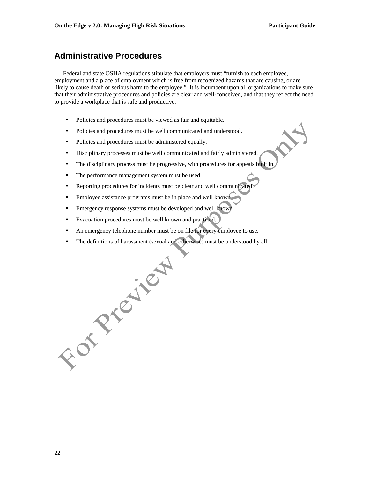## **Administrative Procedures**

 Federal and state OSHA regulations stipulate that employers must "furnish to each employee, employment and a place of employment which is free from recognized hazards that are causing, or are likely to cause death or serious harm to the employee." It is incumbent upon all organizations to make sure that their administrative procedures and policies are clear and well-conceived, and that they reflect the need to provide a workplace that is safe and productive.

- Policies and procedures must be viewed as fair and equitable.
- Policies and procedures must be well communicated and understood.
- Policies and procedures must be administered equally.
- Disciplinary processes must be well communicated and fairly administered.
- The disciplinary process must be progressive, with procedures for appeals built in.
- The performance management system must be used.
- Reporting procedures for incidents must be clear and well communicated.
- Employee assistance programs must be in place and well known.
- Emergency response systems must be developed and well known
- Evacuation procedures must be well known and practiced.
- An emergency telephone number must be on file for every employee to use.
- 

• The definitions of harassment (sexual and otherwise) must be understood by all.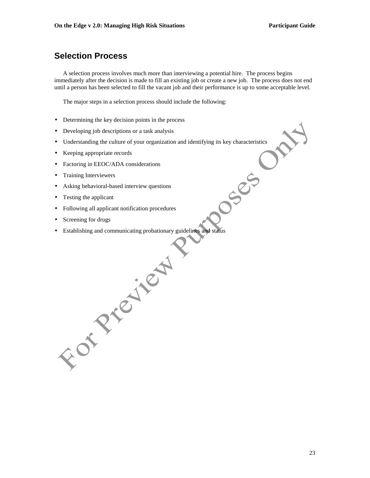## **Selection Process**

 A selection process involves much more than interviewing a potential hire. The process begins immediately after the decision is made to fill an existing job or create a new job. The process does not end until a person has been selected to fill the vacant job and their performance is up to some acceptable level.

The major steps in a selection process should include the following:

- Determining the key decision points in the process
- Developing job descriptions or a task analysis
- Understanding the culture of your organization and identifying its key characteristics<br>
Keeping appropriate records<br>
Factoring in EEOC/ADA considerations<br>
Training Interviewers<br>
Asking behavioral-based interview
- Keeping appropriate records
- Factoring in EEOC/ADA considerations
- Training Interviewers
- Asking behavioral-based interview questions
- Testing the applicant
- Following all applicant notification procedures

For Preject

- Screening for drugs
- Establishing and communicating probationary guidelines and status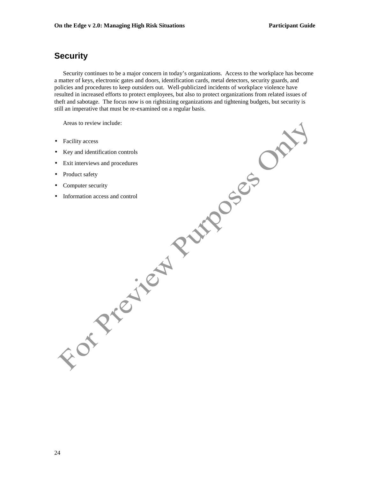## **Security**

 Security continues to be a major concern in today's organizations. Access to the workplace has become a matter of keys, electronic gates and doors, identification cards, metal detectors, security guards, and policies and procedures to keep outsiders out. Well-publicized incidents of workplace violence have resulted in increased efforts to protect employees, but also to protect organizations from related issues of theft and sabotage. The focus now is on rightsizing organizations and tightening budgets, but security is still an imperative that must be re-examined on a regular basis.

Areas to review include:

- Facility access
- Key and identification controls
- Exit interviews and procedures
- Product safety
- Computer security
- Information access and control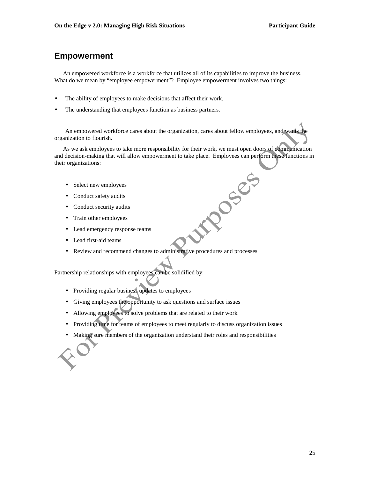### **Empowerment**

 An empowered workforce is a workforce that utilizes all of its capabilities to improve the business. What do we mean by "employee empowerment"? Employee empowerment involves two things:

- The ability of employees to make decisions that affect their work.
- The understanding that employees function as business partners.

An empowered workforce cares about the organization, cares about fellow employees, and wants the organization to flourish.

 As we ask employees to take more responsibility for their work, we must open doors of communication and decision-making that will allow empowerment to take place. Employees can perform these functions in their organizations:

DOSSES

- Select new employees
- Conduct safety audits
- Conduct security audits
- Train other employees
- Lead emergency response teams
- Lead first-aid teams
- Review and recommend changes to administrative procedures and processes

Partnership relationships with employees can be solidified by:

- Providing regular business updates to employees
- Giving employees the opportunity to ask questions and surface issues
- Allowing employees to solve problems that are related to their work
- Providing time for teams of employees to meet regularly to discuss organization issues
- Making sure members of the organization understand their roles and responsibilities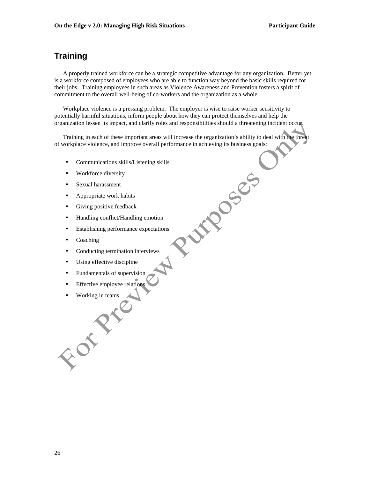## **Training**

 A properly trained workforce can be a strategic competitive advantage for any organization. Better yet is a workforce composed of employees who are able to function way beyond the basic skills required for their jobs. Training employees in such areas as Violence Awareness and Prevention fosters a spirit of commitment to the overall well-being of co-workers and the organization as a whole.

 Workplace violence is a pressing problem. The employer is wise to raise worker sensitivity to potentially harmful situations, inform people about how they can protect themselves and help the organization lessen its impact, and clarify roles and responsibilities should a threatening incident occur.

 Training in each of these important areas will increase the organization's ability to deal with the threat of workplace violence, and improve overall performance in achieving its business goals:

Pumples

- Communications skills/Listening skills
- Workforce diversity
- Sexual harassment
- Appropriate work habits
- Giving positive feedback
- Handling conflict/Handling emotion
- Establishing performance expectations
- Coaching
- Conducting termination interviews
- Using effective discipline
- Fundamentals of supervision
- Effective employee relations
- E Press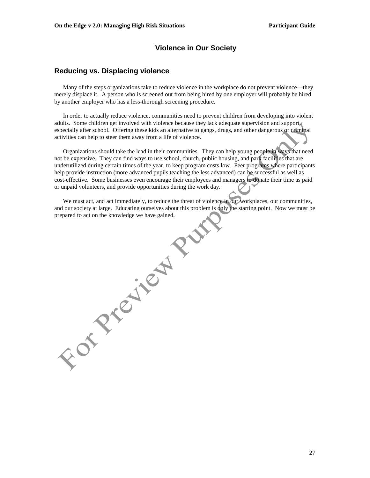#### **Violence in Our Society**

#### **Reducing vs. Displacing violence**

 Many of the steps organizations take to reduce violence in the workplace do not prevent violence—they merely displace it. A person who is screened out from being hired by one employer will probably be hired by another employer who has a less-thorough screening procedure.

 In order to actually reduce violence, communities need to prevent children from developing into violent adults. Some children get involved with violence because they lack adequate supervision and support, especially after school. Offering these kids an alternative to gangs, drugs, and other dangerous or criminal activities can help to steer them away from a life of violence.

 Organizations should take the lead in their communities. They can help young people in ways that need not be expensive. They can find ways to use school, church, public housing, and park facilities that are underutilized during certain times of the year, to keep program costs low. Peer programs where participants help provide instruction (more advanced pupils teaching the less advanced) can be successful as well as cost-effective. Some businesses even encourage their employees and managers to donate their time as paid or unpaid volunteers, and provide opportunities during the work day.

We must act, and act immediately, to reduce the threat of violence in our workplaces, our communities, and our society at large. Educating ourselves about this problem is only the starting point. Now we must be **Property Property**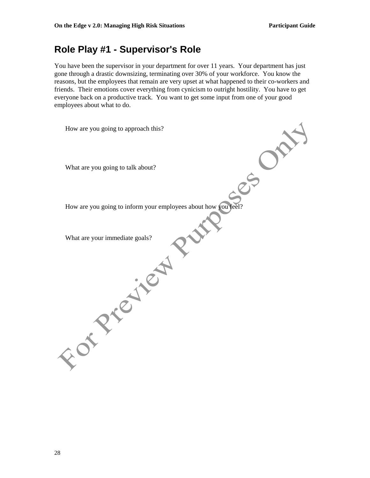# **Role Play #1 - Supervisor's Role**

You have been the supervisor in your department for over 11 years. Your department has just gone through a drastic downsizing, terminating over 30% of your workforce. You know the reasons, but the employees that remain are very upset at what happened to their co-workers and friends. Their emotions cover everything from cynicism to outright hostility. You have to get everyone back on a productive track. You want to get some input from one of your good employees about what to do.

| How are you going to approach this?                            |
|----------------------------------------------------------------|
| What are you going to talk about?                              |
| How are you going to inform your employees about how you feel? |
| What are your immediate goals?                                 |
|                                                                |
|                                                                |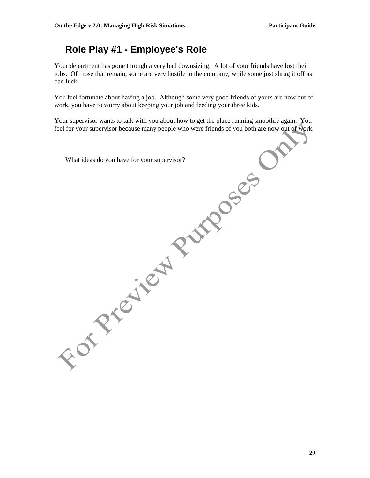# **Role Play #1 - Employee's Role**

Your department has gone through a very bad downsizing. A lot of your friends have lost their jobs. Of those that remain, some are very hostile to the company, while some just shrug it off as bad luck.

You feel fortunate about having a job. Although some very good friends of yours are now out of work, you have to worry about keeping your job and feeding your three kids.

Your supervisor wants to talk with you about how to get the place running smoothly again. You feel for your supervisor because many people who were friends of you both are now out of work.

What ideas do you have for your supervisor?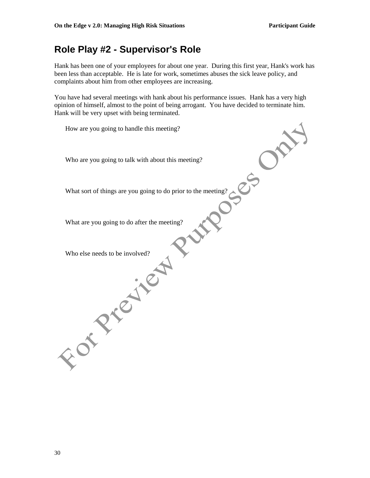# **Role Play #2 - Supervisor's Role**

Hank has been one of your employees for about one year. During this first year, Hank's work has been less than acceptable. He is late for work, sometimes abuses the sick leave policy, and complaints about him from other employees are increasing.

You have had several meetings with hank about his performance issues. Hank has a very high opinion of himself, almost to the point of being arrogant. You have decided to terminate him. Hank will be very upset with being terminated.

How are you going to handle this meeting? Who are you going to talk with about this meeting? What sort of things are you going to do prior to the meeting? What are you going to do after the meeting? **Else needs to be in the first point.**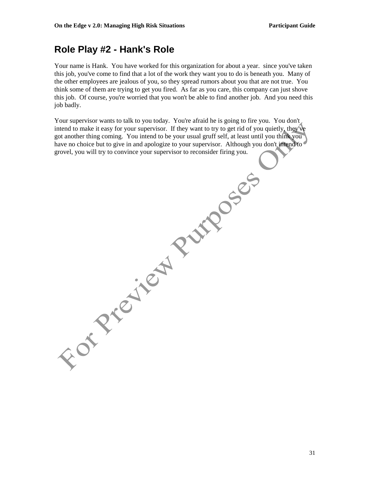# **Role Play #2 - Hank's Role**

Your name is Hank. You have worked for this organization for about a year. since you've taken this job, you've come to find that a lot of the work they want you to do is beneath you. Many of the other employees are jealous of you, so they spread rumors about you that are not true. You think some of them are trying to get you fired. As far as you care, this company can just shove this job. Of course, you're worried that you won't be able to find another job. And you need this job badly.

Your supervisor wants to talk to you today. You're afraid he is going to fire you. You don't intend to make it easy for your supervisor. If they want to try to get rid of you quietly, they've got another thing coming. You intend to be your usual gruff self, at least until you think you have no choice but to give in and apologize to your supervisor. Although you don't intend to grovel, you will try to convince your supervisor to reconsider firing you.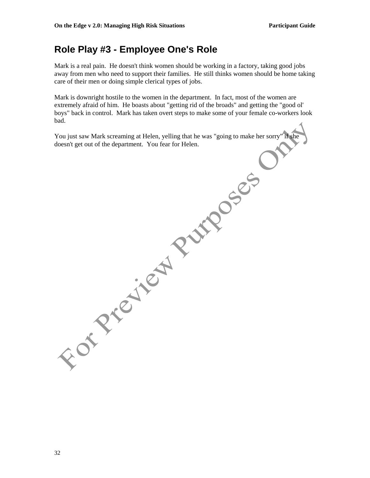# **Role Play #3 - Employee One's Role**

Mark is a real pain. He doesn't think women should be working in a factory, taking good jobs away from men who need to support their families. He still thinks women should be home taking care of their men or doing simple clerical types of jobs.

Mark is downright hostile to the women in the department. In fact, most of the women are extremely afraid of him. He boasts about "getting rid of the broads" and getting the "good ol' boys" back in control. Mark has taken overt steps to make some of your female co-workers look bad.

You just saw Mark screaming at Helen, yelling that he was "going to make her sorry" if she doesn't get out of the department. You fear for Helen.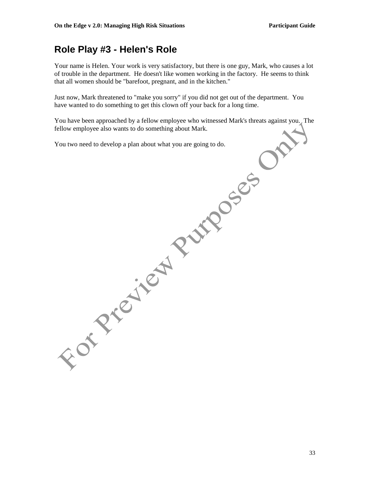# **Role Play #3 - Helen's Role**

Your name is Helen. Your work is very satisfactory, but there is one guy, Mark, who causes a lot of trouble in the department. He doesn't like women working in the factory. He seems to think that all women should be "barefoot, pregnant, and in the kitchen."

Just now, Mark threatened to "make you sorry" if you did not get out of the department. You have wanted to do something to get this clown off your back for a long time.

You have been approached by a fellow employee who witnessed Mark's threats against you. The fellow employee also wants to do something about Mark.

You two need to develop a plan about what you are going to do.